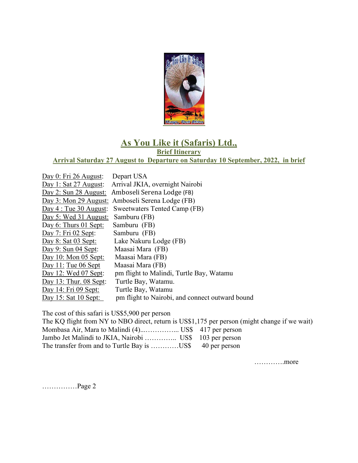

## **As You Like it (Safaris) Ltd., Brief Itinerary**

**Arrival Saturday 27 August to Departure on Saturday 10 September, 2022, in brief**

| Day 0: Fri 26 August:    | Depart USA                                       |
|--------------------------|--------------------------------------------------|
| Day 1: Sat 27 August:    | Arrival JKIA, overnight Nairobi                  |
| Day 2: Sun 28 August:    | Amboseli Serena Lodge (FB)                       |
|                          | Day 3: Mon 29 August: Amboseli Serena Lodge (FB) |
| Day 4: True 30 August:   | Sweetwaters Tented Camp (FB)                     |
| Day 5: Wed 31 August:    | Samburu (FB)                                     |
| Day 6: Thurs 01 Sept:    | Samburu (FB)                                     |
| Day $7:$ Fri 02 Sept:    | Samburu (FB)                                     |
| Day $8:$ Sat 03 Sept:    | Lake Nakuru Lodge (FB)                           |
| Day 9: Sun 04 Sept:      | Maasai Mara (FB)                                 |
| Day 10: Mon 05 Sept:     | Maasai Mara (FB)                                 |
| Day 11: Tue $06$ Sept    | Maasai Mara (FB)                                 |
| Day 12: Wed 07 Sept:     | pm flight to Malindi, Turtle Bay, Watamu         |
| Day 13: Thur. $08$ Sept: | Turtle Bay, Watamu.                              |
| Day 14: Fri 09 Sept:     | Turtle Bay, Watamu                               |
| Day 15: Sat $10$ Sept:   | pm flight to Nairobi, and connect outward bound  |

The cost of this safari is US\$5,900 per person

| The KQ flight from NY to NBO direct, return is US\$1,175 per person (might change if we wait) |  |
|-----------------------------------------------------------------------------------------------|--|
|                                                                                               |  |
| Jambo Jet Malindi to JKIA, Nairobi  US\$ 103 per person                                       |  |
| The transfer from and to Turtle Bay is US\$ 40 per person                                     |  |

………….more

……………Page 2